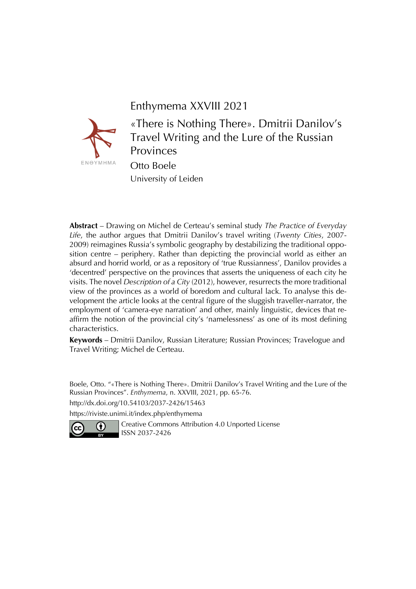## Enthymema XXVIII 2021



«There is Nothing There». Dmitrii Danilov's Travel Writing and the Lure of the Russian Provinces Otto Boele University of Leiden

**Abstract** – Drawing on Michel de Certeau's seminal study *The Practice of Everyday Life*, the author argues that Dmitrii Danilov's travel writing (*Twenty Cities*, 2007- 2009) reimagines Russia's symbolic geography by destabilizing the traditional opposition centre – periphery. Rather than depicting the provincial world as either an absurd and horrid world, or as a repository of 'true Russianness', Danilov provides a 'decentred' perspective on the provinces that asserts the uniqueness of each city he visits. The novel *Description of a City* (2012), however, resurrects the more traditional view of the provinces as a world of boredom and cultural lack. To analyse this development the article looks at the central figure of the sluggish traveller-narrator, the employment of 'camera-eye narration' and other, mainly linguistic, devices that reaffirm the notion of the provincial city's 'namelessness' as one of its most defining characteristics.

**Keywords** – Dmitrii Danilov, Russian Literature; Russian Provinces; Travelogue and Travel Writing; Michel de Certeau.

Boele, Otto. "«There is Nothing There». Dmitrii Danilov's Travel Writing and the Lure of the Russian Provinces". *Enthymema*, n. XXVIII, 2021, pp. 65-76.

http://dx.doi.org/10.54103/2037-2426/15463

https://riviste.unimi.it/index.php/enthymema



Creative Commons Attribution 4.0 Unported License ISSN 2037-2426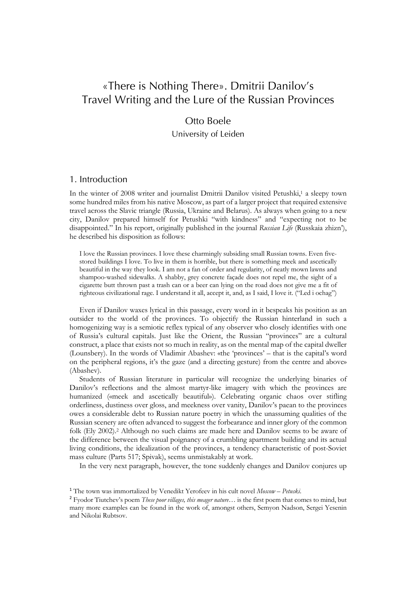# «There is Nothing There». Dmitrii Danilov's Travel Writing and the Lure of the Russian Provinces

## Otto Boele

University of Leiden

#### 1. Introduction

In the winter of 2008 writer and journalist Dmitrii Danilov visited Petushki,<sup>1</sup> a sleepy town some hundred miles from his native Moscow, as part of a larger project that required extensive travel across the Slavic triangle (Russia, Ukraine and Belarus). As always when going to a new city, Danilov prepared himself for Petushki "with kindness" and "expecting not to be disappointed." In his report, originally published in the journal *Russian Life* (Russkaia zhizn'), he described his disposition as follows:

I love the Russian provinces. I love these charmingly subsiding small Russian towns. Even fivestored buildings I love. To live in them is horrible, but there is something meek and ascetically beautiful in the way they look. I am not a fan of order and regularity, of neatly mown lawns and shampoo-washed sidewalks. A shabby, grey concrete façade does not repel me, the sight of a cigarette butt thrown past a trash can or a beer can lying on the road does not give me a fit of righteous civilizational rage. I understand it all, accept it, and, as I said, I love it. ("Led i ochag")

Even if Danilov waxes lyrical in this passage, every word in it bespeaks his position as an outsider to the world of the provinces. To objectify the Russian hinterland in such a homogenizing way is a semiotic reflex typical of any observer who closely identifies with one of Russia's cultural capitals. Just like the Orient, the Russian "provinces" are a cultural construct, a place that exists not so much in reality, as on the mental map of the capital dweller (Lounsbery). In the words of Vladimir Abashev: «the 'provinces' – that is the capital's word on the peripheral regions, it's the gaze (and a directing gesture) from the centre and above» (Abashev).

Students of Russian literature in particular will recognize the underlying binaries of Danilov's reflections and the almost martyr-like imagery with which the provinces are humanized («meek and ascetically beautiful»). Celebrating organic chaos over stifling orderliness, dustiness over gloss, and meekness over vanity, Danilov's paean to the provinces owes a considerable debt to Russian nature poetry in which the unassuming qualities of the Russian scenery are often advanced to suggest the forbearance and inner glory of the common folk (Ely 2002).2 Although no such claims are made here and Danilov seems to be aware of the difference between the visual poignancy of a crumbling apartment building and its actual living conditions, the idealization of the provinces, a tendency characteristic of post-Soviet mass culture (Parts 517; Spivak), seems unmistakably at work.

In the very next paragraph, however, the tone suddenly changes and Danilov conjures up

<sup>1</sup> The town was immortalized by Venedikt Yerofeev in his cult novel *Moscow – Petuski*.

<sup>2</sup> Fyodor Tiutchev's poem *These poor villages, this meager nature…* is the first poem that comes to mind, but many more examples can be found in the work of, amongst others, Semyon Nadson, Sergei Yesenin and Nikolai Rubtsov.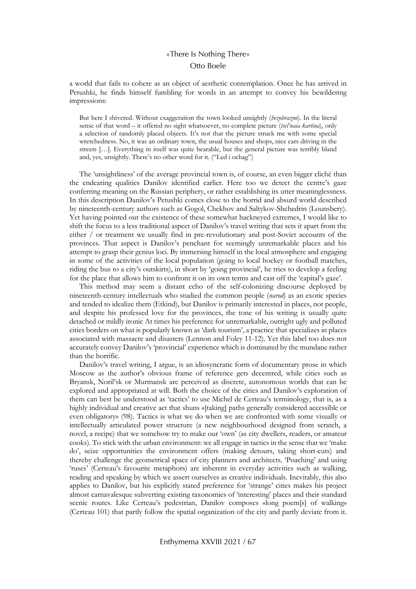a world that fails to cohere as an object of aesthetic contemplation. Once he has arrived in Petushki, he finds himself fumbling for words in an attempt to convey his bewildering impressions:

But here I shivered. Without exaggeration the town looked unsightly (*bezobrazno*). In the literal sense of that word – it offered no sight whatsoever, no complete picture (*tsel'naia kartina*), only a selection of randomly placed objects. It's not that the picture struck me with some special wretchedness. No, it was an ordinary town, the usual houses and shops, nice cars driving in the streets […]. Everything in itself was quite bearable, but the general picture was terribly bland and, yes, unsightly. There's no other word for it. ("Led i ochag")

The 'unsightliness' of the average provincial town is, of course, an even bigger cliché than the endearing qualities Danilov identified earlier. Here too we detect the centre's gaze conferring meaning on the Russian periphery, or rather establishing its utter meaninglessness. In this description Danilov's Petushki comes close to the horrid and absurd world described by nineteenth-century authors such as Gogol, Chekhov and Saltykov-Shchedrin (Lounsbery). Yet having pointed out the existence of these somewhat hackneyed extremes, I would like to shift the focus to a less traditional aspect of Danilov's travel writing that sets it apart from the either / or treatment we usually find in pre-revolutionary and post-Soviet accounts of the provinces. That aspect is Danilov's penchant for seemingly unremarkable places and his attempt to grasp their genius loci. By immersing himself in the local atmosphere and engaging in some of the activities of the local population (going to local hockey or football matches, riding the bus to a city's outskirts), in short by 'going provincial', he tries to develop a feeling for the place that allows him to confront it on its own terms and cast off the 'capital's gaze'.

This method may seem a distant echo of the self-colonizing discourse deployed by nineteenth-century intellectuals who studied the common people (*narod*) as an exotic species and tended to idealize them (Etkind), but Danilov is primarily interested in places, not people, and despite his professed love for the provinces, the tone of his writing is usually quite detached or mildly ironic At times his preference for unremarkable, outright ugly and polluted cities borders on what is popularly known as 'dark tourism', a practice that specializes in places associated with massacre and disasters (Lennon and Foley 11-12). Yet this label too does not accurately convey Danilov's 'provincial' experience which is dominated by the mundane rather than the horrific.

Danilov's travel writing, I argue, is an idiosyncratic form of documentary prose in which Moscow as the author's obvious frame of reference gets decentred, while cities such as Bryansk, Noril'sk or Murmansk are perceived as discrete, autonomous worlds that can be explored and appropriated at will. Both the choice of the cities and Danilov's exploration of them can best be understood as 'tactics' to use Michel de Certeau's terminology, that is, as a highly individual and creative act that shuns «[taking] paths generally considered accessible or even obligatory» (98). Tactics is what we do when we are confronted with some visually or intellectually articulated power structure (a new neighbourhood designed from scratch, a novel, a recipe) that we somehow try to make our 'own' (as city dwellers, readers, or amateur cooks). To stick with the urban environment: we all engage in tactics in the sense that we 'make do', seize opportunities the environment offers (making detours, taking short-cuts) and thereby challenge the geometrical space of city planners and architects. 'Poaching' and using 'ruses' (Certeau's favourite metaphors) are inherent in everyday activities such as walking, reading and speaking by which we assert ourselves as creative individuals. Inevitably, this also applies to Danilov, but his explicitly stated preference for 'strange' cities makes his project almost carnavalesque subverting existing taxonomies of 'interesting' places and their standard scenic routes. Like Certeau's pedestrian, Danilov composes «long poem[s] of walking» (Certeau 101) that partly follow the spatial organization of the city and partly deviate from it.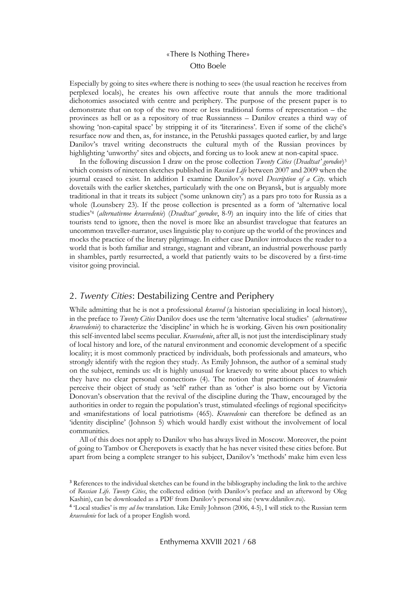Especially by going to sites «where there is nothing to see» (the usual reaction he receives from perplexed locals), he creates his own affective route that annuls the more traditional dichotomies associated with centre and periphery. The purpose of the present paper is to demonstrate that on top of the two more or less traditional forms of representation – the provinces as hell or as a repository of true Russianness – Danilov creates a third way of showing 'non-capital space' by stripping it of its 'literariness'. Even if some of the cliché's resurface now and then, as, for instance, in the Petushki passages quoted earlier, by and large Danilov's travel writing deconstructs the cultural myth of the Russian provinces by highlighting 'unworthy' sites and objects, and forcing us to look anew at non-capital space.

In the following discussion I draw on the prose collection *Twenty Cities* (*Dvadtsat' gorodov*)3 which consists of nineteen sketches published in *Russian Life* between 2007 and 2009 when the journal ceased to exist. In addition I examine Danilov's novel *Description of a City*. which dovetails with the earlier sketches, particularly with the one on Bryansk, but is arguably more traditional in that it treats its subject ('some unknown city') as a pars pro toto for Russia as a whole (Lounsbery 23). If the prose collection is presented as a form of 'alternative local studies'4 (*alternativnoe kraevedenie*) (*Dvadtsat' gorodov*, 8-9) an inquiry into the life of cities that tourists tend to ignore, then the novel is more like an absurdist travelogue that features an uncommon traveller-narrator, uses linguistic play to conjure up the world of the provinces and mocks the practice of the literary pilgrimage. In either case Danilov introduces the reader to a world that is both familiar and strange, stagnant and vibrant, an industrial powerhouse partly in shambles, partly resurrected, a world that patiently waits to be discovered by a first-time visitor going provincial.

#### 2. *Twenty Cities*: Destabilizing Centre and Periphery

While admitting that he is not a professional *kraeved* (a historian specializing in local history), in the preface to *Twenty Cities* Danilov does use the term 'alternative local studies' (*alternativnoe kraevedenie*) to characterize the 'discipline' in which he is working. Given his own positionality this self-invented label seems peculiar. *Kraevedenie*, after all, is not just the interdisciplinary study of local history and lore, of the natural environment and economic development of a specific locality; it is most commonly practiced by individuals, both professionals and amateurs, who strongly identify with the region they study. As Emily Johnson, the author of a seminal study on the subject, reminds us: «It is highly unusual for kraevedy to write about places to which they have no clear personal connection» (4). The notion that practitioners of *kraevedenie* perceive their object of study as 'self' rather than as 'other' is also borne out by Victoria Donovan's observation that the revival of the discipline during the Thaw, encouraged by the authorities in order to regain the population's trust, stimulated «feelings of regional specificity» and «manifestations of local patriotism» (465). *Kraevedenie* can therefore be defined as an 'identity discipline' (Johnson 5) which would hardly exist without the involvement of local communities.

All of this does not apply to Danilov who has always lived in Moscow. Moreover, the point of going to Tambov or Cherepovets is exactly that he has never visited these cities before. But apart from being a complete stranger to his subject, Danilov's 'methods' make him even less

<sup>&</sup>lt;sup>3</sup> References to the individual sketches can be found in the bibliography including the link to the archive of *Russian Life*. *Twenty Cities*, the collected edition (with Danilov's preface and an afterword by Oleg Kashin), can be downloaded as a PDF from Danilov's personal site (www.ddanilov.ru).

<sup>4</sup> 'Local studies' is my *ad hoc* translation. Like Emily Johnson (2006, 4-5), I will stick to the Russian term *kraevedenie* for lack of a proper English word.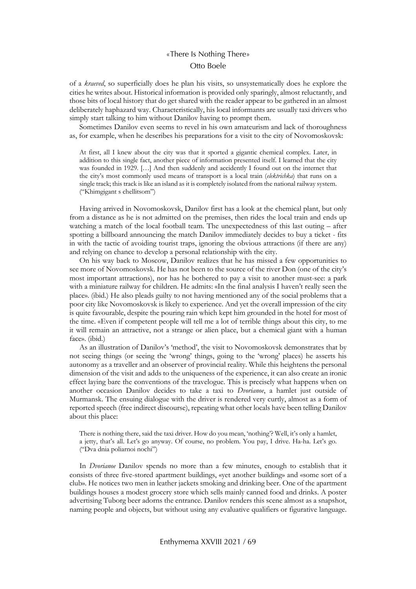of a *kraeved*, so superficially does he plan his visits, so unsystematically does he explore the cities he writes about. Historical information is provided only sparingly, almost reluctantly, and those bits of local history that do get shared with the reader appear to be gathered in an almost deliberately haphazard way. Characteristically, his local informants are usually taxi drivers who simply start talking to him without Danilov having to prompt them.

Sometimes Danilov even seems to revel in his own amateurism and lack of thoroughness as, for example, when he describes his preparations for a visit to the city of Novomoskovsk:

At first, all I knew about the city was that it sported a gigantic chemical complex. Later, in addition to this single fact, another piece of information presented itself. I learned that the city was founded in 1929. [...] And then suddenly and accidently I found out on the internet that the city's most commonly used means of transport is a local train (*elektrichka*) that runs on a single track; this track is like an island as it is completely isolated from the national railway system. ("Khimgigant s chellitsom")

Having arrived in Novomoskovsk, Danilov first has a look at the chemical plant, but only from a distance as he is not admitted on the premises, then rides the local train and ends up watching a match of the local football team. The unexpectedness of this last outing – after spotting a billboard announcing the match Danilov immediately decides to buy a ticket - fits in with the tactic of avoiding tourist traps, ignoring the obvious attractions (if there are any) and relying on chance to develop a personal relationship with the city.

On his way back to Moscow, Danilov realizes that he has missed a few opportunities to see more of Novomoskovsk. He has not been to the source of the river Don (one of the city's most important attractions), nor has he bothered to pay a visit to another must-see: a park with a miniature railway for children. He admits: «In the final analysis I haven't really seen the place». (ibid.) He also pleads guilty to not having mentioned any of the social problems that a poor city like Novomoskovsk is likely to experience. And yet the overall impression of the city is quite favourable, despite the pouring rain which kept him grounded in the hotel for most of the time. «Even if competent people will tell me a lot of terrible things about this city, to me it will remain an attractive, not a strange or alien place, but a chemical giant with a human face». (ibid.)

As an illustration of Danilov's 'method', the visit to Novomoskovsk demonstrates that by not seeing things (or seeing the 'wrong' things, going to the 'wrong' places) he asserts his autonomy as a traveller and an observer of provincial reality. While this heightens the personal dimension of the visit and adds to the uniqueness of the experience, it can also create an ironic effect laying bare the conventions of the travelogue. This is precisely what happens when on another occasion Danilov decides to take a taxi to *Dvorianoe*, a hamlet just outside of Murmansk. The ensuing dialogue with the driver is rendered very curtly, almost as a form of reported speech (free indirect discourse), repeating what other locals have been telling Danilov about this place:

There is nothing there, said the taxi driver. How do you mean, 'nothing'? Well, it's only a hamlet, a jetty, that's all. Let's go anyway. Of course, no problem. You pay, I drive. Ha-ha. Let's go. ("Dva dnia poliarnoi nochi")

In *Dvorianoe* Danilov spends no more than a few minutes, enough to establish that it consists of three five-stored apartment buildings, «yet another building» and «some sort of a club». He notices two men in leather jackets smoking and drinking beer. One of the apartment buildings houses a modest grocery store which sells mainly canned food and drinks. A poster advertising Tuborg beer adorns the entrance. Danilov renders this scene almost as a snapshot, naming people and objects, but without using any evaluative qualifiers or figurative language.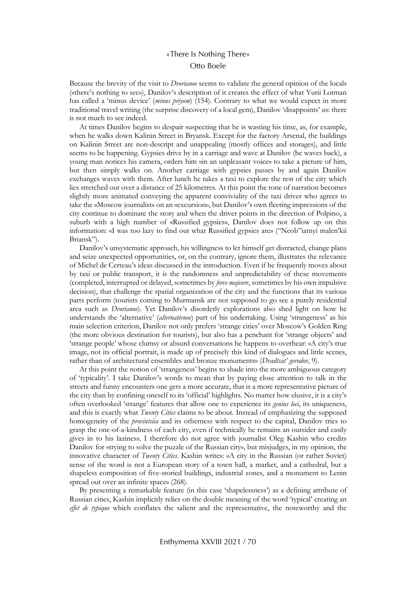Because the brevity of the visit to *Dvorianoe* seems to validate the general opinion of the locals («there's nothing to see»), Danilov's description of it creates the effect of what Yurii Lotman has called a 'minus device' (*minus priyom*) (154). Contrary to what we would expect in more traditional travel writing (the surprise discovery of a local gem), Danilov 'disappoints' us: there is not much to see indeed.

At times Danilov begins to despair suspecting that he is wasting his time, as, for example, when he walks down Kalinin Street in Bryansk. Except for the factory Arsenal, the buildings on Kalinin Street are non-descript and unappealing (mostly offices and storages), and little seems to be happening. Gypsies drive by in a carriage and wave at Danilov (he waves back), a young man notices his camera, orders him «in an unpleasant voice» to take a picture of him, but then simply walks on. Another carriage with gypsies passes by and again Danilov exchanges waves with them. After lunch he takes a taxi to explore the rest of the city which lies stretched out over a distance of 25 kilometres. At this point the tone of narration becomes slightly more animated conveying the apparent conviviality of the taxi driver who agrees to take the «Moscow journalist» on an «excursion», but Danilov's own fleeting impressions of the city continue to dominate the story and when the driver points in the direction of Polpino, a suburb with a high number of «Russified gypsies», Danilov does not follow up on this information: «I was too lazy to find out what Russified gypsies are» ("Neob"iatnyi malen'kii Briansk").

Danilov's unsystematic approach, his willingness to let himself get distracted, change plans and seize unexpected opportunities, or, on the contrary, ignore them, illustrates the relevance of Michel de Certeau's ideas discussed in the introduction. Even if he frequently moves about by taxi or public transport, it is the randomness and unpredictability of these movements (completed, interrupted or delayed, sometimes by *force majeure*, sometimes by his own impulsive decision), that challenge the spatial organization of the city and the functions that its various parts perform (tourists coming to Murmansk are not supposed to go see a purely residential area such as *Dvorianoe*). Yet Danilov's disorderly explorations also shed light on how he understands the 'alternative' (*alternativnoe*) part of his undertaking. Using 'strangeness' as his main selection criterion, Danilov not only prefers 'strange cities' over Moscow's Golden Ring (the more obvious destination for tourists), but also has a penchant for 'strange objects' and 'strange people' whose clumsy or absurd conversations he happens to overhear: «A city's true image, not its official portrait, is made up of precisely this kind of dialogues and little scenes, rather than of architectural ensembles and bronze monuments» (*Dvadtsat' gorodov*, 9).

At this point the notion of 'strangeness' begins to shade into the more ambiguous category of 'typicality'. I take Danilov's words to mean that by paying close attention to talk in the streets and funny encounters one gets a more accurate, that is a more representative picture of the city than by confining oneself to its 'official' highlights. No matter how elusive, it is a city's often overlooked 'strange' features that allow one to experience its *genius loci*, its uniqueness, and this is exactly what *Twenty Cities* claims to be about. Instead of emphasizing the supposed homogeneity of the *provintsiia* and its otherness with respect to the capital, Danilov tries to grasp the one-of-a-kindness of each city, even if technically he remains an outsider and easily gives in to his laziness. I therefore do not agree with journalist Oleg Kashin who credits Danilov for «trying to solve the puzzle of the Russian city», but misjudges, in my opinion, the innovative character of *Twenty Cities*. Kashin writes: «A city in the Russian (or rather Soviet) sense of the word is not a European story of a town hall, a market, and a cathedral, but a shapeless composition of five-storied buildings, industrial zones, and a monument to Lenin spread out over an infinite space» (268).

By presenting a remarkable feature (in this case 'shapelessness') as a defining attribute of Russian cities, Kashin implicitly relies on the double meaning of the word 'typical' creating an *effet de typique* which conflates the salient and the representative, the noteworthy and the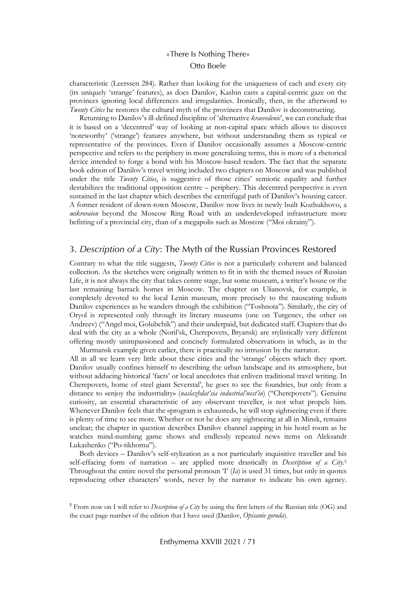characteristic (Leerssen 284). Rather than looking for the uniqueness of each and every city (its uniquely 'strange' features), as does Danilov, Kashin casts a capital-centric gaze on the provinces ignoring local differences and irregularities. Ironically, then, in the afterword to *Twenty Cities* he restores the cultural myth of the provinces that Danilov is deconstructing.

Returning to Danilov's ill-defined discipline of 'alternative *kraevedenie*', we can conclude that it is based on a 'decentred' way of looking at non-capital space which allows to discover 'noteworthy' ('strange') features anywhere, but without understanding them as typical or representative of the provinces. Even if Danilov occasionally assumes a Moscow-centric perspective and refers to the periphery in more generalizing terms, this is more of a rhetorical device intended to forge a bond with his Moscow-based readers. The fact that the separate book edition of Danilov's travel writing included two chapters on Moscow and was published under the title *Twenty Cities*, is suggestive of those cities' semiotic equality and further destabilizes the traditional opposition centre – periphery. This decentred perspective is even sustained in the last chapter which describes the centrifugal path of Danilov's housing career. A former resident of down-town Moscow, Danilov now lives in newly built Kozhukhovo, a *mikroraion* beyond the Moscow Ring Road with an underdeveloped infrastructure more befitting of a provincial city, than of a megapolis such as Moscow ("Moi okrainy").

#### 3. *Description of a City*: The Myth of the Russian Provinces Restored

Contrary to what the title suggests, *Twenty Cities* is not a particularly coherent and balanced collection. As the sketches were originally written to fit in with the themed issues of Russian Life, it is not always the city that takes centre stage, but some museum, a writer's house or the last remaining barrack homes in Moscow. The chapter on Ulianovsk, for example, is completely devoted to the local Lenin museum, more precisely to the nauseating tedium Danilov experiences as he wanders through the exhibition ("Toshnota"). Similarly, the city of Oryol is represented only through its literary museums (one on Turgenev, the other on Andreev) ("Angel moi, Golubchik") and their underpaid, but dedicated staff. Chapters that do deal with the city as a whole (Noril'sk, Cherepovets, Bryansk) are stylistically very different offering mostly unimpassioned and concisely formulated observations in which, as in the Murmansk example given earlier, there is practically no intrusion by the narrator.

All in all we learn very little about these cities and the 'strange' objects which they sport. Danilov usually confines himself to describing the urban landscape and its atmosphere, but without adducing historical 'facts' or local anecdotes that enliven traditional travel writing. In Cherepovets, home of steel giant Severstal', he goes to see the foundries, but only from a distance to «enjoy the industriality» (*naslazhdat'sia industrial'nost'iu*) ("Cherepovets"). Genuine curiosity, an essential characteristic of any observant traveller, is not what propels him. Whenever Danilov feels that the «program is exhausted», he will stop sightseeing even if there is plenty of time to see more. Whether or not he does any sightseeing at all in Minsk, remains unclear; the chapter in question describes Danilov channel zapping in his hotel room as he watches mind-numbing game shows and endlessly repeated news items on Aleksandr Lukashenko ("Po-tikhomu").

Both devices – Danilov's self-stylization as a not particularly inquisitive traveller and his self-effacing form of narration – are applied more drastically in *Description of a City*. 5 Throughout the entire novel the personal pronoun 'I' (*Ia*) is used 31 times, but only in quotes reproducing other characters' words, never by the narrator to indicate his own agency.

<sup>5</sup> From now on I will refer to *Description of a City* by using the first letters of the Russian title (OG) and the exact page number of the edition that I have used (Danilov, *Opisanie goroda*).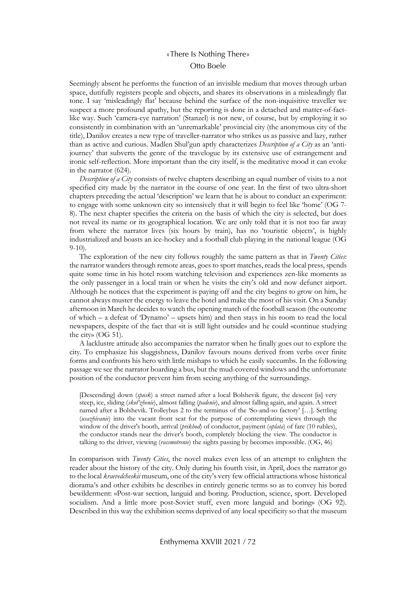Seemingly absent he performs the function of an invisible medium that moves through urban space, dutifully registers people and objects, and shares its observations in a misleadingly flat tone. I say 'misleadingly flat' because behind the surface of the non-inquisitive traveller we suspect a more profound apathy, but the reporting is done in a detached and matter-of-factlike way. Such 'camera-eye narration' (Stanzel) is not new, of course, but by employing it so consistently in combination with an 'unremarkable' provincial city (the anonymous city of the title), Danilov creates a new type of traveller-narrator who strikes us as passive and lazy, rather than as active and curious. Madlen Shul'gun aptly characterizes *Description of a City* as an 'antijourney' that subverts the genre of the travelogue by its extensive use of estrangement and ironic self-reflection. More important than the city itself, is the meditative mood it can evoke in the narrator (624).

*Description of a City* consists of twelve chapters describing an equal number of visits to a not specified city made by the narrator in the course of one year. In the first of two ultra-short chapters preceding the actual 'description' we learn that he is about to conduct an experiment: to engage with some unknown city so intensively that it will begin to feel like 'home' (OG 7- 8). The next chapter specifies the criteria on the basis of which the city is selected, but does not reveal its name or its geographical location. We are only told that it is not too far away from where the narrator lives (six hours by train), has no 'touristic objects', is highly industrialized and boasts an ice-hockey and a football club playing in the national league (OG 9-10).

The exploration of the new city follows roughly the same pattern as that in *Twenty Cities*: the narrator wanders through remote areas, goes to sport matches, reads the local press, spends quite some time in his hotel room watching television and experiences zen-like moments as the only passenger in a local train or when he visits the city's old and now defunct airport. Although he notices that the experiment is paying off and the city begins to grow on him, he cannot always muster the energy to leave the hotel and make the most of his visit. On a Sunday afternoon in March he decides to watch the opening match of the football season (the outcome of which – a defeat of 'Dynamo' – upsets him) and then stays in his room to read the local newspapers, despite of the fact that «it is still light outside» and he could «continue studying the city» (OG 51).

A lacklustre attitude also accompanies the narrator when he finally goes out to explore the city. To emphasize his sluggishness, Danilov favours nouns derived from verbs over finite forms and confronts his hero with little mishaps to which he easily succumbs. In the following passage we see the narrator boarding a bus, but the mud-covered windows and the unfortunate position of the conductor prevent him from seeing anything of the surroundings.

[Descending] down (*spusk*) a street named after a local Bolshevik figure, the descent [is] very steep, ice, sliding (*skol'zhenie*), almost falling (*padenie*), and almost falling again, and again. A street named after a Bolshevik. Trolleybus 2 to the terminus of the 'So-and-so factory' […]. Settling (*usazhivanie*) into the vacant front seat for the purpose of contemplating views through the window of the driver's booth, arrival (*prikhod*) of conductor, payment (*oplata*) of fare (10 rubles), the conductor stands near the driver's booth, completely blocking the view. The conductor is talking to the driver, viewing (*rassmotrenie*) the sights passing by becomes impossible. (OG, 46)

In comparison with *Twenty Cities*, the novel makes even less of an attempt to enlighten the reader about the history of the city. Only during his fourth visit, in April, does the narrator go to the local *kraevedcheskii* museum, one of the city's very few official attractions whose historical diorama's and other exhibits he describes in entirely generic terms so as to convey his bored bewilderment: «Post-war section, languid and boring. Production, science, sport. Developed socialism. And a little more post-Soviet stuff, even more languid and boring» (OG 92). Described in this way the exhibition seems deprived of any local specificity so that the museum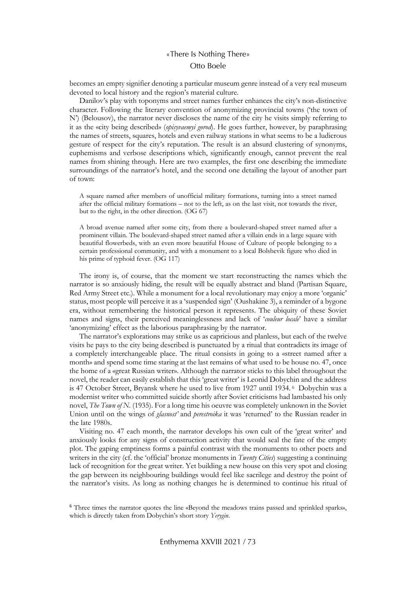becomes an empty signifier denoting a particular museum genre instead of a very real museum devoted to local history and the region's material culture.

Danilov's play with toponyms and street names further enhances the city's non-distinctive character. Following the literary convention of anonymizing provincial towns ('the town of N') (Belousov), the narrator never discloses the name of the city he visits simply referring to it as the «city being described» (*opisyvaemyi gorod*). He goes further, however, by paraphrasing the names of streets, squares, hotels and even railway stations in what seems to be a ludicrous gesture of respect for the city's reputation. The result is an absurd clustering of synonyms, euphemisms and verbose descriptions which, significantly enough, cannot prevent the real names from shining through. Here are two examples, the first one describing the immediate surroundings of the narrator's hotel, and the second one detailing the layout of another part of town:

A square named after members of unofficial military formations, turning into a street named after the official military formations – not to the left, as on the last visit, not towards the river, but to the right, in the other direction. (OG 67)

A broad avenue named after some city, from there a boulevard-shaped street named after a prominent villain. The boulevard-shaped street named after a villain ends in a large square with beautiful flowerbeds, with an even more beautiful House of Culture of people belonging to a certain professional community, and with a monument to a local Bolshevik figure who died in his prime of typhoid fever. (OG 117)

The irony is, of course, that the moment we start reconstructing the names which the narrator is so anxiously hiding, the result will be equally abstract and bland (Partisan Square, Red Army Street etc.). While a monument for a local revolutionary may enjoy a more 'organic' status, most people will perceive it as a 'suspended sign' (Oushakine 3), a reminder of a bygone era, without remembering the historical person it represents. The ubiquity of these Soviet names and signs, their perceived meaninglessness and lack of '*couleur locale*' have a similar 'anonymizing' effect as the laborious paraphrasing by the narrator.

The narrator's explorations may strike us as capricious and planless, but each of the twelve visits he pays to the city being described is punctuated by a ritual that contradicts its image of a completely interchangeable place. The ritual consists in going to a «street named after a month» and spend some time staring at the last remains of what used to be house no. 47, once the home of a «great Russian writer». Although the narrator sticks to this label throughout the novel, the reader can easily establish that this 'great writer' is Leonid Dobychin and the address is 47 October Street, Bryansk where he used to live from 1927 until 1934. 6 Dobychin was a modernist writer who committed suicide shortly after Soviet criticisms had lambasted his only novel, *The Town of N.* (1935). For a long time his oeuvre was completely unknown in the Soviet Union until on the wings of *glasnost'* and *perestroika* it was 'returned' to the Russian reader in the late 1980s.

Visiting no. 47 each month, the narrator develops his own cult of the 'great writer' and anxiously looks for any signs of construction activity that would seal the fate of the empty plot. The gaping emptiness forms a painful contrast with the monuments to other poets and writers in the city (cf. the 'official' bronze monuments in *Twenty Cities*) suggesting a continuing lack of recognition for the great writer. Yet building a new house on this very spot and closing the gap between its neighbouring buildings would feel like sacrilege and destroy the point of the narrator's visits. As long as nothing changes he is determined to continue his ritual of

<sup>6</sup> Three times the narrator quotes the line «Beyond the meadows trains passed and sprinkled sparks», which is directly taken from Dobychin's short story *Yerygin*.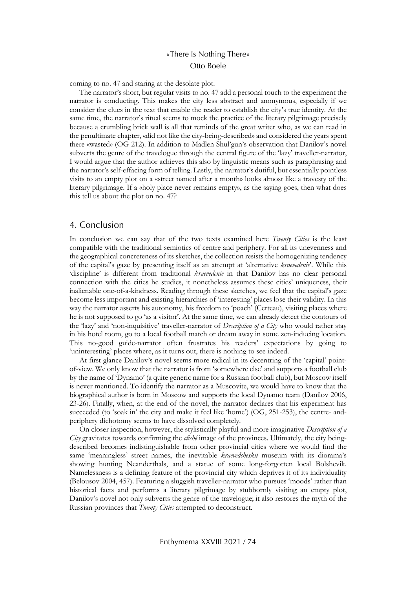coming to no. 47 and staring at the desolate plot.

The narrator's short, but regular visits to no. 47 add a personal touch to the experiment the narrator is conducting. This makes the city less abstract and anonymous, especially if we consider the clues in the text that enable the reader to establish the city's true identity. At the same time, the narrator's ritual seems to mock the practice of the literary pilgrimage precisely because a crumbling brick wall is all that reminds of the great writer who, as we can read in the penultimate chapter, «did not like the city-being-described» and considered the years spent there «wasted» (OG 212). In addition to Madlen Shul'gun's observation that Danilov's novel subverts the genre of the travelogue through the central figure of the 'lazy' traveller-narrator, I would argue that the author achieves this also by linguistic means such as paraphrasing and the narrator's self-effacing form of telling. Lastly, the narrator's dutiful, but essentially pointless visits to an empty plot on a «street named after a month» looks almost like a travesty of the literary pilgrimage. If a «holy place never remains empty», as the saying goes, then what does this tell us about the plot on no. 47?

#### 4. Conclusion

In conclusion we can say that of the two texts examined here *Twenty Cities* is the least compatible with the traditional semiotics of centre and periphery. For all its unevenness and the geographical concreteness of its sketches, the collection resists the homogenizing tendency of the capital's gaze by presenting itself as an attempt at 'alternative *kraevedenie*'. While this 'discipline' is different from traditional *kraevedenie* in that Danilov has no clear personal connection with the cities he studies, it nonetheless assumes these cities' uniqueness, their inalienable one-of-a-kindness. Reading through these sketches, we feel that the capital's gaze become less important and existing hierarchies of 'interesting' places lose their validity. In this way the narrator asserts his autonomy, his freedom to 'poach' (Certeau), visiting places where he is not supposed to go 'as a visitor'. At the same time, we can already detect the contours of the 'lazy' and 'non-inquisitive' traveller-narrator of *Description of a City* who would rather stay in his hotel room, go to a local football match or dream away in some zen-inducing location. This no-good guide-narrator often frustrates his readers' expectations by going to 'uninteresting' places where, as it turns out, there is nothing to see indeed.

At first glance Danilov's novel seems more radical in its decentring of the 'capital' pointof-view. We only know that the narrator is from 'somewhere else' and supports a football club by the name of 'Dynamo' (a quite generic name for a Russian football club), but Moscow itself is never mentioned. To identify the narrator as a Muscovite, we would have to know that the biographical author is born in Moscow and supports the local Dynamo team (Danilov 2006, 23-26). Finally, when, at the end of the novel, the narrator declares that his experiment has succeeded (to 'soak in' the city and make it feel like 'home') (OG, 251-253), the centre- andperiphery dichotomy seems to have dissolved completely.

On closer inspection, however, the stylistically playful and more imaginative *Description of a City* gravitates towards confirming the *cliché* image of the provinces. Ultimately, the city beingdescribed becomes indistinguishable from other provincial cities where we would find the same 'meaningless' street names, the inevitable *kraevedcheskii* museum with its diorama's showing hunting Neanderthals, and a statue of some long-forgotten local Bolshevik. Namelessness is a defining feature of the provincial city which deprives it of its individuality (Belousov 2004, 457). Featuring a sluggish traveller-narrator who pursues 'moods' rather than historical facts and performs a literary pilgrimage by stubbornly visiting an empty plot, Danilov's novel not only subverts the genre of the travelogue; it also restores the myth of the Russian provinces that *Twenty Cities* attempted to deconstruct.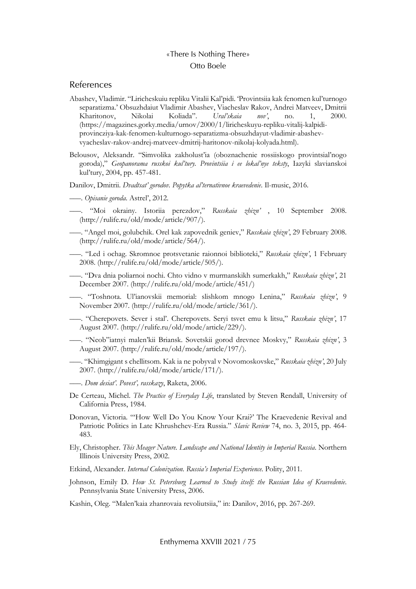#### References

- Abashev, Vladimir. "Liricheskuiu repliku Vitalii Kal'pidi. 'Provintsiia kak fenomen kul'turnogo separatizma.' Obsuzhdaiut Vladimir Abashev, Viacheslav Rakov, Andrei Matveev, Dmitrii Kharitonov, Nikolai Koliada". *Ural'skaia nov'*, no. 1, 2000. (https://magazines.gorky.media/urnov/2000/1/liricheskuyu-repliku-vitalij-kalpidiprovincziya-kak-fenomen-kulturnogo-separatizma-obsuzhdayut-vladimir-abashevvyacheslav-rakov-andrej-matveev-dmitrij-haritonov-nikolaj-kolyada.html).
- Belousov, Aleksandr. "Simvolika zakholust'ia (oboznachenie rossiiskogo provintsial'nogo goroda)," *Geopanorama russkoi kul'tury. Provintsiia i ee lokal'nye teksty*, Iazyki slavianskoi kul'tury, 2004, pp. 457-481.
- Danilov, Dmitrii. *Dvadtsat' gorodov. Popytka al'ternativnoe kraevedenie*. Il-music, 2016.
- –––. *Opisanie goroda*. Astrel', 2012.
- –––. "Moi okrainy. Istoriia perezdov," *Russkaia zhizn'* , 10 September 2008. (http://rulife.ru/old/mode/article/907/).
- –––. "Angel moi, golubchik. Orel kak zapovednik geniev," *Russkaia zhizn'*, 29 February 2008. (http://rulife.ru/old/mode/article/564/).
- –––. "Led i ochag. Skromnoe protsvetanie raionnoi biblioteki," *Russkaia zhizn'*, 1 February 2008. (http://rulife.ru/old/mode/article/505/).
- –––. "Dva dnia poliarnoi nochi. Chto vidno v murmanskikh sumerkakh," *Russkaia zhizn'*, 21 December 2007. (http://rulife.ru/old/mode/article/451/)
- –––. "Toshnota. Ul'ianovskii memorial: slishkom mnogo Lenina," *Russkaia zhizn'*, 9 November 2007. (http://rulife.ru/old/mode/article/361/).
- –––. "Cherepovets. Sever i stal'. Cherepovets. Seryi tsvet emu k litsu," *Russkaia zhizn'*, 17 August 2007. (http://rulife.ru/old/mode/article/229/).
- –––. "Neob"iatnyi malen'kii Briansk. Sovetskii gorod drevnee Moskvy," *Russkaia zhizn'*, 3 August 2007. (http://rulife.ru/old/mode/article/197/).
- –––. "Khimgigant s chellitsom. Kak ia ne pobyval v Novomoskovske," *Russkaia zhizn'*, 20 July 2007. (http://rulife.ru/old/mode/article/171/).
- –––. *Dom desiat'. Povest', rasskazy*, Raketa, 2006.
- De Certeau, Michel. *The Practice of Everyday Life*, translated by Steven Rendall, University of California Press, 1984.
- Donovan, Victoria. "'How Well Do You Know Your Krai?' The Kraevedenie Revival and Patriotic Politics in Late Khrushchev-Era Russia." *Slavic Review* 74, no. 3, 2015, pp. 464- 483.
- Ely, Christopher. *This Meager Nature. Landscape and National Identity in Imperial Russia*. Northern Illinois University Press, 2002.
- Etkind, Alexander. *Internal Colonization. Russia's Imperial Experience*. Polity, 2011.
- Johnson, Emily D. *How St. Petersburg Learned to Study itself: the Russian Idea of Kraevedenie*. Pennsylvania State University Press, 2006.
- Kashin, Oleg. "Malen'kaia zhanrovaia revoliutsiia," in: Danilov, 2016, pp. 267-269.